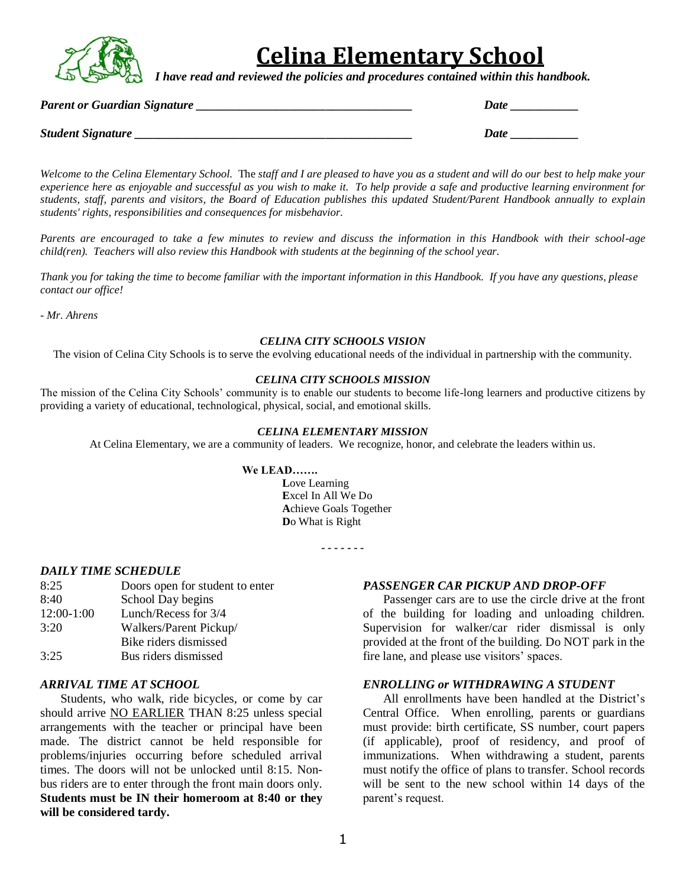

# **Celina Elementary School**

*I have read and reviewed the policies and procedures contained within this handbook.*

*Parent or Guardian Signature \_\_\_\_\_\_\_\_\_\_\_\_\_\_\_\_\_\_\_\_\_\_\_\_\_\_\_\_\_\_\_\_\_\_\_ Date \_\_\_\_\_\_\_\_\_\_\_*

*Student Signature \_\_\_\_\_\_\_\_\_\_\_\_\_\_\_\_\_\_\_\_\_\_\_\_\_\_\_\_\_\_\_\_\_\_\_\_\_\_\_\_\_\_\_\_\_ Date \_\_\_\_\_\_\_\_\_\_\_*

*Welcome to the Celina Elementary School.* The *staff and I are pleased to have you as a student and will do our best to help make your experience here as enjoyable and successful as you wish to make it. To help provide a safe and productive learning environment for students, staff, parents and visitors, the Board of Education publishes this updated Student/Parent Handbook annually to explain students' rights, responsibilities and consequences for misbehavior.*

*Parents are encouraged to take a few minutes to review and discuss the information in this Handbook with their school-age child(ren). Teachers will also review this Handbook with students at the beginning of the school year.*

*Thank you for taking the time to become familiar with the important information in this Handbook. If you have any questions, please contact our office!*

*- Mr. Ahrens*

## *CELINA CITY SCHOOLS VISION*

The vision of Celina City Schools is to serve the evolving educational needs of the individual in partnership with the community.

#### *CELINA CITY SCHOOLS MISSION*

The mission of the Celina City Schools' community is to enable our students to become life-long learners and productive citizens by providing a variety of educational, technological, physical, social, and emotional skills.

#### *CELINA ELEMENTARY MISSION*

At Celina Elementary, we are a community of leaders. We recognize, honor, and celebrate the leaders within us.

#### **We LEAD…….**

**L**ove Learning **E**xcel In All We Do **A**chieve Goals Together **D**o What is Right

**- - - - - - -**

#### *DAILY TIME SCHEDULE*

| Doors open for student to enter |
|---------------------------------|
| School Day begins               |
| Lunch/Recess for 3/4            |
| Walkers/Parent Pickup/          |
| Bike riders dismissed           |
| Bus riders dismissed            |
|                                 |

## *ARRIVAL TIME AT SCHOOL*

Students, who walk, ride bicycles, or come by car should arrive NO EARLIER THAN 8:25 unless special arrangements with the teacher or principal have been made. The district cannot be held responsible for problems/injuries occurring before scheduled arrival times. The doors will not be unlocked until 8:15. Nonbus riders are to enter through the front main doors only. **Students must be IN their homeroom at 8:40 or they will be considered tardy.**

#### *PASSENGER CAR PICKUP AND DROP-OFF*

Passenger cars are to use the circle drive at the front of the building for loading and unloading children. Supervision for walker/car rider dismissal is only provided at the front of the building. Do NOT park in the fire lane, and please use visitors' spaces.

## *ENROLLING or WITHDRAWING A STUDENT*

All enrollments have been handled at the District's Central Office. When enrolling, parents or guardians must provide: birth certificate, SS number, court papers (if applicable), proof of residency, and proof of immunizations. When withdrawing a student, parents must notify the office of plans to transfer. School records will be sent to the new school within 14 days of the parent's request.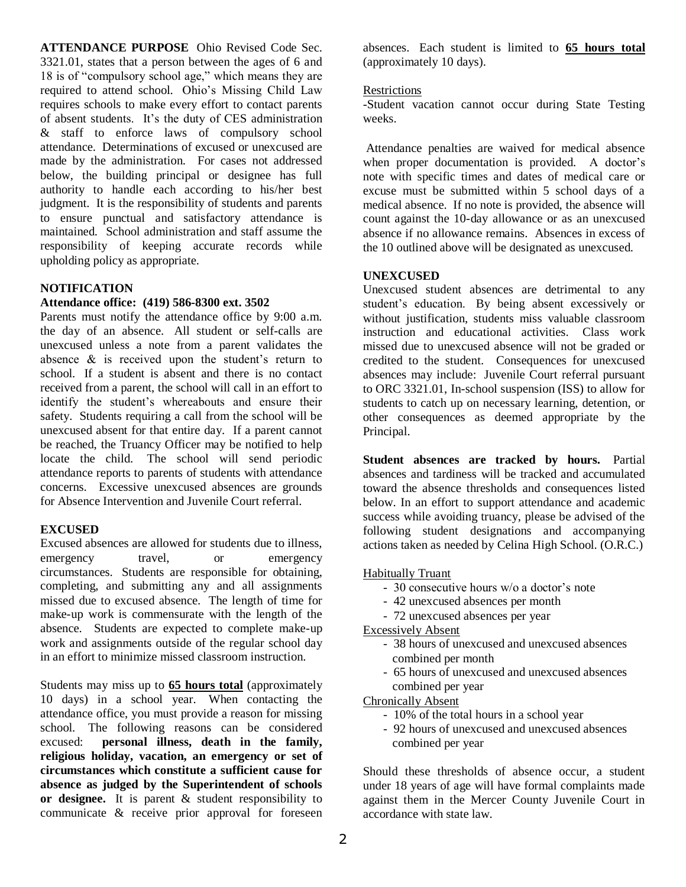**ATTENDANCE PURPOSE** Ohio Revised Code Sec. 3321.01, states that a person between the ages of 6 and 18 is of "compulsory school age," which means they are required to attend school. Ohio's Missing Child Law requires schools to make every effort to contact parents of absent students. It's the duty of CES administration & staff to enforce laws of compulsory school attendance. Determinations of excused or unexcused are made by the administration. For cases not addressed below, the building principal or designee has full authority to handle each according to his/her best judgment. It is the responsibility of students and parents to ensure punctual and satisfactory attendance is maintained. School administration and staff assume the responsibility of keeping accurate records while upholding policy as appropriate.

## **NOTIFICATION**

## **Attendance office: (419) 586-8300 ext. 3502**

Parents must notify the attendance office by 9:00 a.m. the day of an absence. All student or self-calls are unexcused unless a note from a parent validates the absence & is received upon the student's return to school. If a student is absent and there is no contact received from a parent, the school will call in an effort to identify the student's whereabouts and ensure their safety. Students requiring a call from the school will be unexcused absent for that entire day. If a parent cannot be reached, the Truancy Officer may be notified to help locate the child. The school will send periodic attendance reports to parents of students with attendance concerns. Excessive unexcused absences are grounds for Absence Intervention and Juvenile Court referral.

## **EXCUSED**

Excused absences are allowed for students due to illness, emergency travel, or emergency circumstances. Students are responsible for obtaining, completing, and submitting any and all assignments missed due to excused absence. The length of time for make-up work is commensurate with the length of the absence. Students are expected to complete make-up work and assignments outside of the regular school day in an effort to minimize missed classroom instruction.

Students may miss up to **65 hours total** (approximately 10 days) in a school year. When contacting the attendance office, you must provide a reason for missing school. The following reasons can be considered excused: **personal illness, death in the family, religious holiday, vacation, an emergency or set of circumstances which constitute a sufficient cause for absence as judged by the Superintendent of schools or designee.** It is parent & student responsibility to communicate & receive prior approval for foreseen

absences. Each student is limited to **65 hours total** (approximately 10 days).

## Restrictions

-Student vacation cannot occur during State Testing weeks.

Attendance penalties are waived for medical absence when proper documentation is provided. A doctor's note with specific times and dates of medical care or excuse must be submitted within 5 school days of a medical absence. If no note is provided, the absence will count against the 10-day allowance or as an unexcused absence if no allowance remains. Absences in excess of the 10 outlined above will be designated as unexcused.

## **UNEXCUSED**

Unexcused student absences are detrimental to any student's education. By being absent excessively or without justification, students miss valuable classroom instruction and educational activities. Class work missed due to unexcused absence will not be graded or credited to the student. Consequences for unexcused absences may include: Juvenile Court referral pursuant to ORC 3321.01, In-school suspension (ISS) to allow for students to catch up on necessary learning, detention, or other consequences as deemed appropriate by the Principal.

**Student absences are tracked by hours.** Partial absences and tardiness will be tracked and accumulated toward the absence thresholds and consequences listed below. In an effort to support attendance and academic success while avoiding truancy, please be advised of the following student designations and accompanying actions taken as needed by Celina High School. (O.R.C.)

## Habitually Truant

- 30 consecutive hours w/o a doctor's note
- 42 unexcused absences per month
- 72 unexcused absences per year

# Excessively Absent

- 38 hours of unexcused and unexcused absences combined per month
- 65 hours of unexcused and unexcused absences combined per year

Chronically Absent

- 10% of the total hours in a school year
- 92 hours of unexcused and unexcused absences combined per year

Should these thresholds of absence occur, a student under 18 years of age will have formal complaints made against them in the Mercer County Juvenile Court in accordance with state law.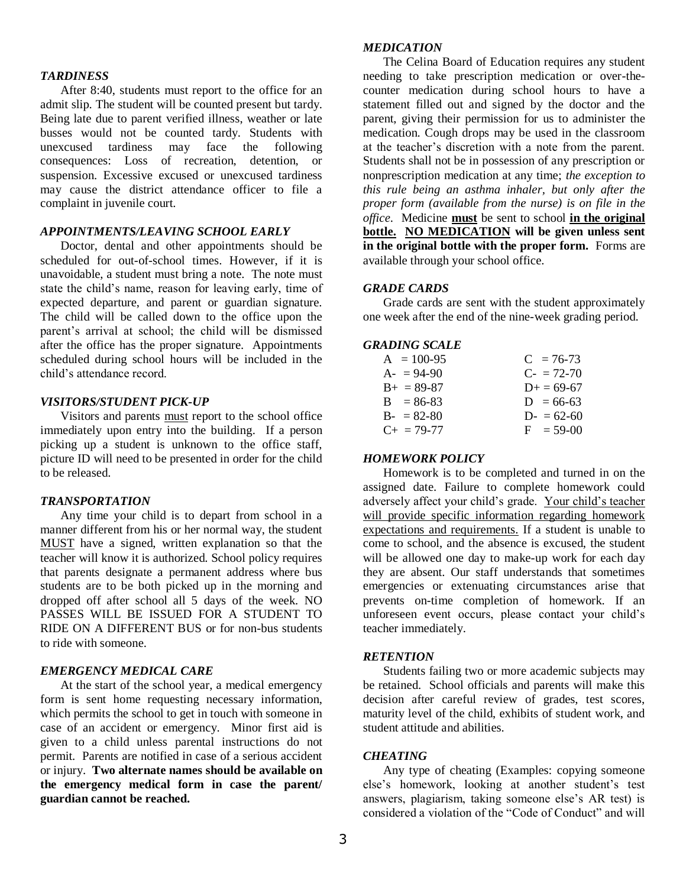#### *TARDINESS*

After 8:40, students must report to the office for an admit slip. The student will be counted present but tardy. Being late due to parent verified illness, weather or late busses would not be counted tardy. Students with unexcused tardiness may face the following consequences: Loss of recreation, detention, or suspension. Excessive excused or unexcused tardiness may cause the district attendance officer to file a complaint in juvenile court.

## *APPOINTMENTS/LEAVING SCHOOL EARLY*

Doctor, dental and other appointments should be scheduled for out-of-school times. However, if it is unavoidable, a student must bring a note. The note must state the child's name, reason for leaving early, time of expected departure, and parent or guardian signature. The child will be called down to the office upon the parent's arrival at school; the child will be dismissed after the office has the proper signature. Appointments scheduled during school hours will be included in the child's attendance record.

## *VISITORS/STUDENT PICK-UP*

Visitors and parents must report to the school office immediately upon entry into the building. If a person picking up a student is unknown to the office staff, picture ID will need to be presented in order for the child to be released.

## *TRANSPORTATION*

Any time your child is to depart from school in a manner different from his or her normal way, the student MUST have a signed, written explanation so that the teacher will know it is authorized. School policy requires that parents designate a permanent address where bus students are to be both picked up in the morning and dropped off after school all 5 days of the week. NO PASSES WILL BE ISSUED FOR A STUDENT TO RIDE ON A DIFFERENT BUS or for non-bus students to ride with someone.

## *EMERGENCY MEDICAL CARE*

At the start of the school year, a medical emergency form is sent home requesting necessary information, which permits the school to get in touch with someone in case of an accident or emergency. Minor first aid is given to a child unless parental instructions do not permit. Parents are notified in case of a serious accident or injury. **Two alternate names should be available on the emergency medical form in case the parent/ guardian cannot be reached.**

#### *MEDICATION*

The Celina Board of Education requires any student needing to take prescription medication or over-thecounter medication during school hours to have a statement filled out and signed by the doctor and the parent, giving their permission for us to administer the medication. Cough drops may be used in the classroom at the teacher's discretion with a note from the parent. Students shall not be in possession of any prescription or nonprescription medication at any time; *the exception to this rule being an asthma inhaler, but only after the proper form (available from the nurse) is on file in the office.* Medicine **must** be sent to school **in the original bottle. NO MEDICATION will be given unless sent in the original bottle with the proper form.** Forms are available through your school office.

#### *GRADE CARDS*

Grade cards are sent with the student approximately one week after the end of the nine-week grading period.

## *GRADING SCALE*

| $A = 100-95$    | $C = 76-73$              |
|-----------------|--------------------------|
| $A = 94-90$     | $C_{\text{F}} = 72 - 70$ |
| $B_{+} = 89-87$ | $D+ = 69-67$             |
| $B = 86-83$     | $D = 66-63$              |
| $B - 82-80$     | $D = 62-60$              |
| $C_{+}$ = 79-77 | $F = 59-00$              |

#### *HOMEWORK POLICY*

Homework is to be completed and turned in on the assigned date. Failure to complete homework could adversely affect your child's grade. Your child's teacher will provide specific information regarding homework expectations and requirements. If a student is unable to come to school, and the absence is excused, the student will be allowed one day to make-up work for each day they are absent. Our staff understands that sometimes emergencies or extenuating circumstances arise that prevents on-time completion of homework. If an unforeseen event occurs, please contact your child's teacher immediately.

#### *RETENTION*

Students failing two or more academic subjects may be retained. School officials and parents will make this decision after careful review of grades, test scores, maturity level of the child, exhibits of student work, and student attitude and abilities.

#### *CHEATING*

Any type of cheating (Examples: copying someone else's homework, looking at another student's test answers, plagiarism, taking someone else's AR test) is considered a violation of the "Code of Conduct" and will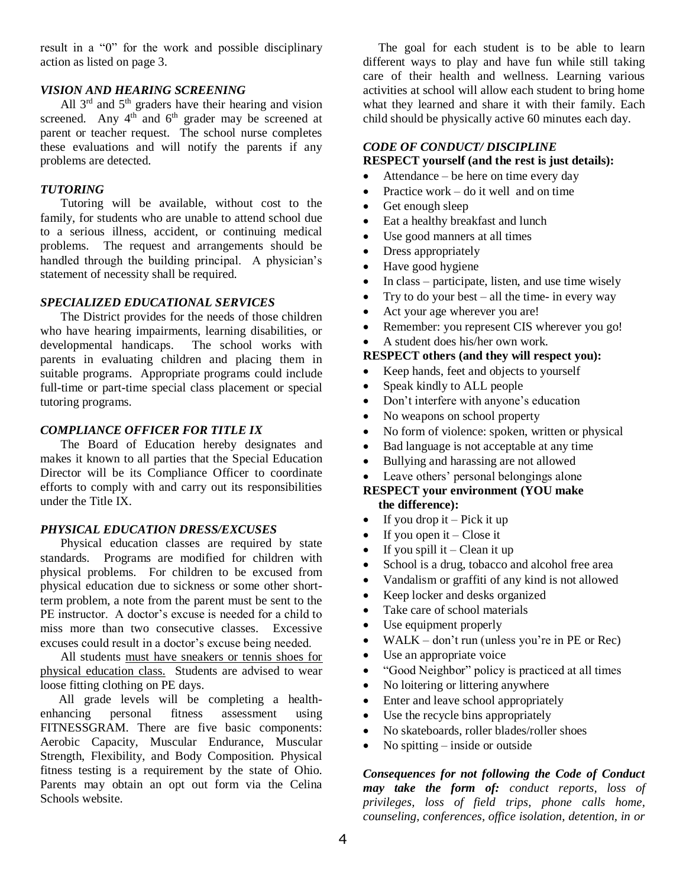result in a "0" for the work and possible disciplinary action as listed on page 3.

## *VISION AND HEARING SCREENING*

All  $3<sup>rd</sup>$  and  $5<sup>th</sup>$  graders have their hearing and vision screened. Any  $4<sup>th</sup>$  and  $6<sup>th</sup>$  grader may be screened at parent or teacher request. The school nurse completes these evaluations and will notify the parents if any problems are detected.

#### *TUTORING*

Tutoring will be available, without cost to the family, for students who are unable to attend school due to a serious illness, accident, or continuing medical problems. The request and arrangements should be handled through the building principal. A physician's statement of necessity shall be required.

#### *SPECIALIZED EDUCATIONAL SERVICES*

The District provides for the needs of those children who have hearing impairments, learning disabilities, or developmental handicaps. The school works with parents in evaluating children and placing them in suitable programs. Appropriate programs could include full-time or part-time special class placement or special tutoring programs.

#### *COMPLIANCE OFFICER FOR TITLE IX*

The Board of Education hereby designates and makes it known to all parties that the Special Education Director will be its Compliance Officer to coordinate efforts to comply with and carry out its responsibilities under the Title IX.

#### *PHYSICAL EDUCATION DRESS/EXCUSES*

Physical education classes are required by state standards. Programs are modified for children with physical problems. For children to be excused from physical education due to sickness or some other shortterm problem, a note from the parent must be sent to the PE instructor. A doctor's excuse is needed for a child to miss more than two consecutive classes. Excessive excuses could result in a doctor's excuse being needed.

All students must have sneakers or tennis shoes for physical education class. Students are advised to wear loose fitting clothing on PE days.

 All grade levels will be completing a healthenhancing personal fitness assessment using FITNESSGRAM. There are five basic components: Aerobic Capacity, Muscular Endurance, Muscular Strength, Flexibility, and Body Composition. Physical fitness testing is a requirement by the state of Ohio. Parents may obtain an opt out form via the Celina Schools website.

 The goal for each student is to be able to learn different ways to play and have fun while still taking care of their health and wellness. Learning various activities at school will allow each student to bring home what they learned and share it with their family. Each child should be physically active 60 minutes each day.

#### *CODE OF CONDUCT/ DISCIPLINE* **RESPECT yourself (and the rest is just details):**

- Attendance be here on time every day
- Practice work do it well and on time
- Get enough sleep
- Eat a healthy breakfast and lunch
- Use good manners at all times
- Dress appropriately
- Have good hygiene
- In class participate, listen, and use time wisely
- Try to do your best all the time- in every way
- Act your age wherever you are!
- Remember: you represent CIS wherever you go!
- A student does his/her own work.

## **RESPECT others (and they will respect you):**

- Keep hands, feet and objects to yourself
- Speak kindly to ALL people
- Don't interfere with anyone's education
- No weapons on school property
- No form of violence: spoken, written or physical
- Bad language is not acceptable at any time
- Bullying and harassing are not allowed
- Leave others' personal belongings alone

## **RESPECT your environment (YOU make the difference):**

- If you drop it Pick it up
- If you open it  $-$  Close it
- If you spill it Clean it up
- School is a drug, tobacco and alcohol free area
- Vandalism or graffiti of any kind is not allowed
- Keep locker and desks organized
- Take care of school materials
- Use equipment properly
- WALK don't run (unless you're in PE or Rec)
- Use an appropriate voice
- "Good Neighbor" policy is practiced at all times
- No loitering or littering anywhere
- Enter and leave school appropriately
- Use the recycle bins appropriately
- No skateboards, roller blades/roller shoes
- No spitting  $-$  inside or outside

*Consequences for not following the Code of Conduct may take the form of: conduct reports, loss of privileges, loss of field trips, phone calls home, counseling, conferences, office isolation, detention, in or*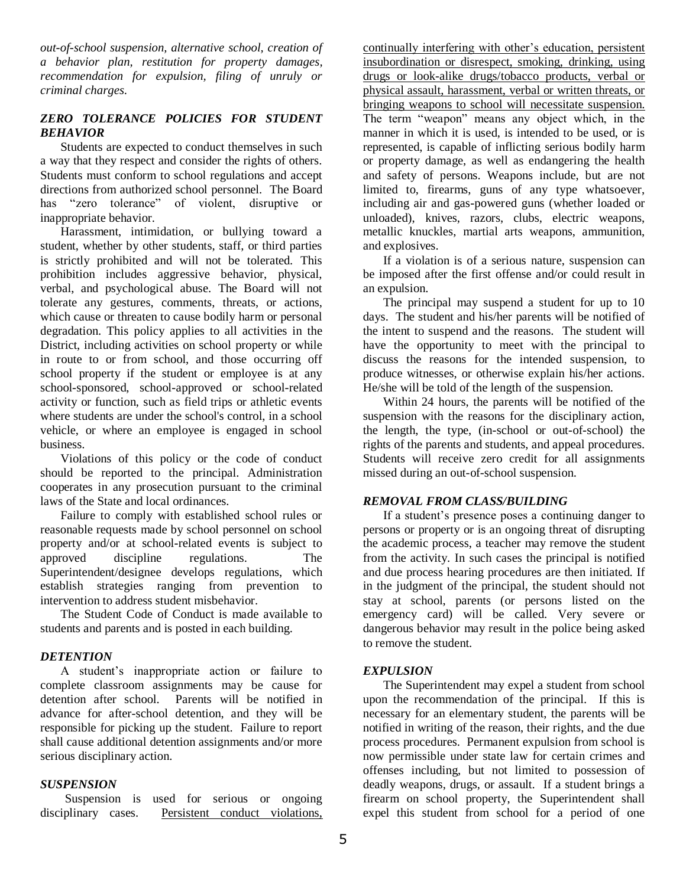*out-of-school suspension, alternative school, creation of a behavior plan, restitution for property damages, recommendation for expulsion, filing of unruly or criminal charges.*

## *ZERO TOLERANCE POLICIES FOR STUDENT BEHAVIOR*

Students are expected to conduct themselves in such a way that they respect and consider the rights of others. Students must conform to school regulations and accept directions from authorized school personnel. The Board has "zero tolerance" of violent, disruptive or inappropriate behavior.

Harassment, intimidation, or bullying toward a student, whether by other students, staff, or third parties is strictly prohibited and will not be tolerated. This prohibition includes aggressive behavior, physical, verbal, and psychological abuse. The Board will not tolerate any gestures, comments, threats, or actions, which cause or threaten to cause bodily harm or personal degradation. This policy applies to all activities in the District, including activities on school property or while in route to or from school, and those occurring off school property if the student or employee is at any school-sponsored, school-approved or school-related activity or function, such as field trips or athletic events where students are under the school's control, in a school vehicle, or where an employee is engaged in school business.

Violations of this policy or the code of conduct should be reported to the principal. Administration cooperates in any prosecution pursuant to the criminal laws of the State and local ordinances.

Failure to comply with established school rules or reasonable requests made by school personnel on school property and/or at school-related events is subject to approved discipline regulations. The Superintendent/designee develops regulations, which establish strategies ranging from prevention to intervention to address student misbehavior.

The Student Code of Conduct is made available to students and parents and is posted in each building.

## *DETENTION*

A student's inappropriate action or failure to complete classroom assignments may be cause for detention after school. Parents will be notified in advance for after-school detention, and they will be responsible for picking up the student. Failure to report shall cause additional detention assignments and/or more serious disciplinary action.

#### *SUSPENSION*

 Suspension is used for serious or ongoing disciplinary cases. Persistent conduct violations, continually interfering with other's education, persistent insubordination or disrespect, smoking, drinking, using drugs or look-alike drugs/tobacco products, verbal or physical assault, harassment, verbal or written threats, or bringing weapons to school will necessitate suspension. The term "weapon" means any object which, in the manner in which it is used, is intended to be used, or is represented, is capable of inflicting serious bodily harm or property damage, as well as endangering the health and safety of persons. Weapons include, but are not limited to, firearms, guns of any type whatsoever, including air and gas-powered guns (whether loaded or unloaded), knives, razors, clubs, electric weapons, metallic knuckles, martial arts weapons, ammunition, and explosives.

If a violation is of a serious nature, suspension can be imposed after the first offense and/or could result in an expulsion.

The principal may suspend a student for up to 10 days. The student and his/her parents will be notified of the intent to suspend and the reasons. The student will have the opportunity to meet with the principal to discuss the reasons for the intended suspension, to produce witnesses, or otherwise explain his/her actions. He/she will be told of the length of the suspension.

Within 24 hours, the parents will be notified of the suspension with the reasons for the disciplinary action, the length, the type, (in-school or out-of-school) the rights of the parents and students, and appeal procedures. Students will receive zero credit for all assignments missed during an out-of-school suspension.

## *REMOVAL FROM CLASS/BUILDING*

If a student's presence poses a continuing danger to persons or property or is an ongoing threat of disrupting the academic process, a teacher may remove the student from the activity. In such cases the principal is notified and due process hearing procedures are then initiated. If in the judgment of the principal, the student should not stay at school, parents (or persons listed on the emergency card) will be called. Very severe or dangerous behavior may result in the police being asked to remove the student.

## *EXPULSION*

The Superintendent may expel a student from school upon the recommendation of the principal. If this is necessary for an elementary student, the parents will be notified in writing of the reason, their rights, and the due process procedures. Permanent expulsion from school is now permissible under state law for certain crimes and offenses including, but not limited to possession of deadly weapons, drugs, or assault. If a student brings a firearm on school property, the Superintendent shall expel this student from school for a period of one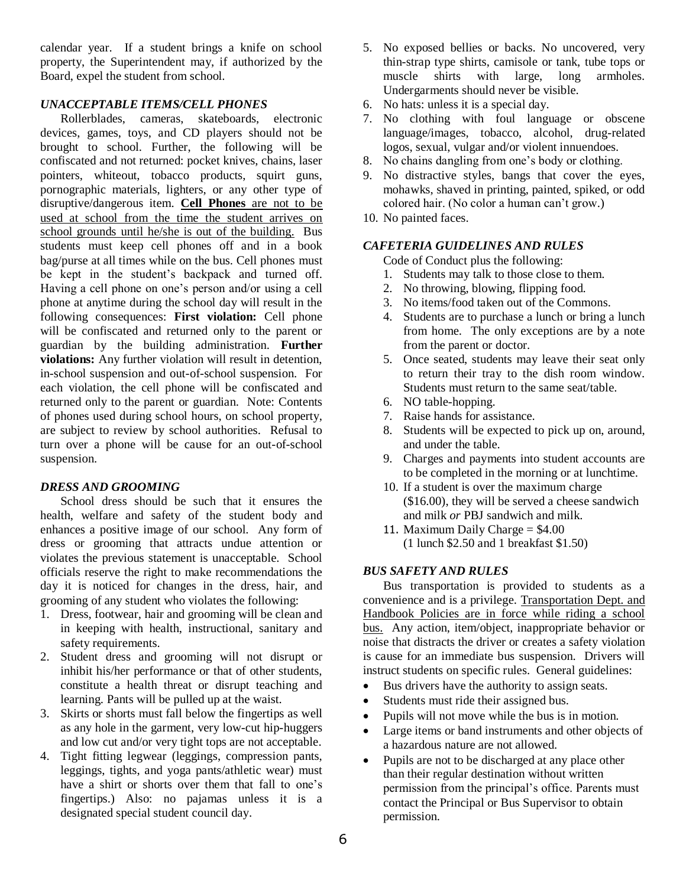calendar year. If a student brings a knife on school property, the Superintendent may, if authorized by the Board, expel the student from school.

## *UNACCEPTABLE ITEMS/CELL PHONES*

Rollerblades, cameras, skateboards, electronic devices, games, toys, and CD players should not be brought to school. Further, the following will be confiscated and not returned: pocket knives, chains, laser pointers, whiteout, tobacco products, squirt guns, pornographic materials, lighters, or any other type of disruptive/dangerous item. **Cell Phones** are not to be used at school from the time the student arrives on school grounds until he/she is out of the building. Bus students must keep cell phones off and in a book bag/purse at all times while on the bus. Cell phones must be kept in the student's backpack and turned off. Having a cell phone on one's person and/or using a cell phone at anytime during the school day will result in the following consequences: **First violation:** Cell phone will be confiscated and returned only to the parent or guardian by the building administration. **Further violations:** Any further violation will result in detention, in-school suspension and out-of-school suspension. For each violation, the cell phone will be confiscated and returned only to the parent or guardian. Note: Contents of phones used during school hours, on school property, are subject to review by school authorities. Refusal to turn over a phone will be cause for an out-of-school suspension.

# *DRESS AND GROOMING*

School dress should be such that it ensures the health, welfare and safety of the student body and enhances a positive image of our school. Any form of dress or grooming that attracts undue attention or violates the previous statement is unacceptable. School officials reserve the right to make recommendations the day it is noticed for changes in the dress, hair, and grooming of any student who violates the following:

- 1. Dress, footwear, hair and grooming will be clean and in keeping with health, instructional, sanitary and safety requirements.
- 2. Student dress and grooming will not disrupt or inhibit his/her performance or that of other students, constitute a health threat or disrupt teaching and learning. Pants will be pulled up at the waist.
- 3. Skirts or shorts must fall below the fingertips as well as any hole in the garment, very low-cut hip-huggers and low cut and/or very tight tops are not acceptable.
- 4. Tight fitting legwear (leggings, compression pants, leggings, tights, and yoga pants/athletic wear) must have a shirt or shorts over them that fall to one's fingertips.) Also: no pajamas unless it is a designated special student council day.
- 5. No exposed bellies or backs. No uncovered, very thin-strap type shirts, camisole or tank, tube tops or muscle shirts with large, long armholes. Undergarments should never be visible.
- 6. No hats: unless it is a special day.
- 7. No clothing with foul language or obscene language/images, tobacco, alcohol, drug-related logos, sexual, vulgar and/or violent innuendoes.
- 8. No chains dangling from one's body or clothing.
- 9. No distractive styles, bangs that cover the eyes, mohawks, shaved in printing, painted, spiked, or odd colored hair. (No color a human can't grow.)
- 10. No painted faces.

## *CAFETERIA GUIDELINES AND RULES*

Code of Conduct plus the following:

- 1. Students may talk to those close to them.
- 2. No throwing, blowing, flipping food.
- 3. No items/food taken out of the Commons.
- 4. Students are to purchase a lunch or bring a lunch from home. The only exceptions are by a note from the parent or doctor.
- 5. Once seated, students may leave their seat only to return their tray to the dish room window. Students must return to the same seat/table.
- 6. NO table-hopping.
- 7. Raise hands for assistance.
- 8. Students will be expected to pick up on, around, and under the table.
- 9. Charges and payments into student accounts are to be completed in the morning or at lunchtime.
- 10. If a student is over the maximum charge (\$16.00), they will be served a cheese sandwich and milk *or* PBJ sandwich and milk.
- 11. Maximum Daily Charge  $= $4.00$ (1 lunch \$2.50 and 1 breakfast \$1.50)

# *BUS SAFETY AND RULES*

Bus transportation is provided to students as a convenience and is a privilege. Transportation Dept. and Handbook Policies are in force while riding a school bus. Any action, item/object, inappropriate behavior or noise that distracts the driver or creates a safety violation is cause for an immediate bus suspension. Drivers will instruct students on specific rules. General guidelines:

- Bus drivers have the authority to assign seats.
- Students must ride their assigned bus.
- Pupils will not move while the bus is in motion.
- Large items or band instruments and other objects of a hazardous nature are not allowed.
- Pupils are not to be discharged at any place other than their regular destination without written permission from the principal's office. Parents must contact the Principal or Bus Supervisor to obtain permission.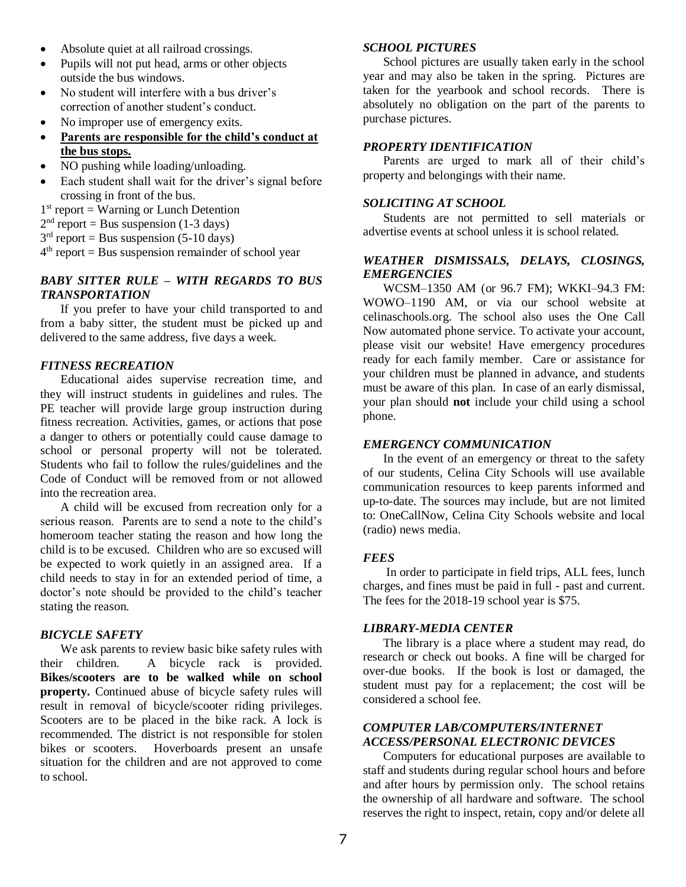- Absolute quiet at all railroad crossings.
- Pupils will not put head, arms or other objects outside the bus windows.
- No student will interfere with a bus driver's correction of another student's conduct.
- No improper use of emergency exits.
- **Parents are responsible for the child's conduct at the bus stops.**
- NO pushing while loading/unloading.
- Each student shall wait for the driver's signal before crossing in front of the bus.
- 1<sup>st</sup> report = Warning or Lunch Detention
- $2<sup>nd</sup>$  report = Bus suspension (1-3 days)
- $3<sup>rd</sup>$  report = Bus suspension (5-10 days)
- 4 th report = Bus suspension remainder of school year

## *BABY SITTER RULE – WITH REGARDS TO BUS TRANSPORTATION*

If you prefer to have your child transported to and from a baby sitter, the student must be picked up and delivered to the same address, five days a week.

#### *FITNESS RECREATION*

Educational aides supervise recreation time, and they will instruct students in guidelines and rules. The PE teacher will provide large group instruction during fitness recreation. Activities, games, or actions that pose a danger to others or potentially could cause damage to school or personal property will not be tolerated. Students who fail to follow the rules/guidelines and the Code of Conduct will be removed from or not allowed into the recreation area.

A child will be excused from recreation only for a serious reason. Parents are to send a note to the child's homeroom teacher stating the reason and how long the child is to be excused. Children who are so excused will be expected to work quietly in an assigned area. If a child needs to stay in for an extended period of time, a doctor's note should be provided to the child's teacher stating the reason.

#### *BICYCLE SAFETY*

We ask parents to review basic bike safety rules with their children. A bicycle rack is provided. **Bikes/scooters are to be walked while on school property.** Continued abuse of bicycle safety rules will result in removal of bicycle/scooter riding privileges. Scooters are to be placed in the bike rack. A lock is recommended. The district is not responsible for stolen bikes or scooters. Hoverboards present an unsafe situation for the children and are not approved to come to school.

#### *SCHOOL PICTURES*

School pictures are usually taken early in the school year and may also be taken in the spring. Pictures are taken for the yearbook and school records. There is absolutely no obligation on the part of the parents to purchase pictures.

#### *PROPERTY IDENTIFICATION*

Parents are urged to mark all of their child's property and belongings with their name.

#### *SOLICITING AT SCHOOL*

Students are not permitted to sell materials or advertise events at school unless it is school related.

## *WEATHER DISMISSALS, DELAYS, CLOSINGS, EMERGENCIES*

WCSM–1350 AM (or 96.7 FM); WKKI–94.3 FM: WOWO–1190 AM, or via our school website at celinaschools.org. The school also uses the One Call Now automated phone service. To activate your account, please visit our website! Have emergency procedures ready for each family member. Care or assistance for your children must be planned in advance, and students must be aware of this plan. In case of an early dismissal, your plan should **not** include your child using a school phone.

#### *EMERGENCY COMMUNICATION*

In the event of an emergency or threat to the safety of our students, Celina City Schools will use available communication resources to keep parents informed and up-to-date. The sources may include, but are not limited to: OneCallNow, Celina City Schools website and local (radio) news media.

#### *FEES*

In order to participate in field trips, ALL fees, lunch charges, and fines must be paid in full - past and current. The fees for the 2018-19 school year is \$75.

## *LIBRARY-MEDIA CENTER*

The library is a place where a student may read, do research or check out books. A fine will be charged for over-due books. If the book is lost or damaged, the student must pay for a replacement; the cost will be considered a school fee.

# *COMPUTER LAB/COMPUTERS/INTERNET ACCESS/PERSONAL ELECTRONIC DEVICES*

Computers for educational purposes are available to staff and students during regular school hours and before and after hours by permission only. The school retains the ownership of all hardware and software. The school reserves the right to inspect, retain, copy and/or delete all